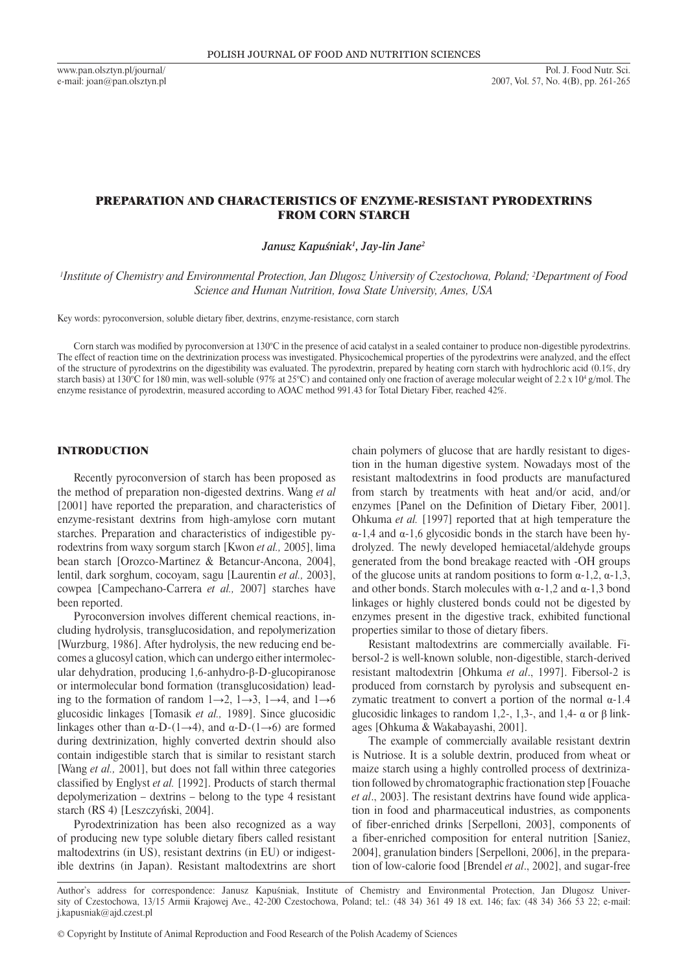www.pan.olsztyn.pl/journal/ e-mail: joan@pan.olsztyn.pl

# Preparation and characteristics of enzyme-resistant pyrodextrins FROM CORN STARCH

*Janusz Kapuśniak<sup>1</sup> , Jay-lin Jane<sup>2</sup>*

*1 Institute of Chemistry and Environmental Protection, Jan Dlugosz University of Czestochowa, Poland; <sup>2</sup> Department of Food Science and Human Nutrition, Iowa State University, Ames, USA*

Key words: pyroconversion, soluble dietary fiber, dextrins, enzyme-resistance, corn starch

Corn starch was modified by pyroconversion at 130°C in the presence of acid catalyst in a sealed container to produce non-digestible pyrodextrins. The effect of reaction time on the dextrinization process was investigated. Physicochemical properties of the pyrodextrins were analyzed, and the effect of the structure of pyrodextrins on the digestibility was evaluated. The pyrodextrin, prepared by heating corn starch with hydrochloric acid (0.1%, dry starch basis) at 130°C for 180 min, was well-soluble (97% at 25°C) and contained only one fraction of average molecular weight of 2.2 x 10<sup>4</sup> g/mol. The enzyme resistance of pyrodextrin, measured according to AOAC method 991.43 for Total Dietary Fiber, reached 42%.

### INTRODUCTION

Recently pyroconversion of starch has been proposed as the method of preparation non-digested dextrins. Wang *et al* [2001] have reported the preparation, and characteristics of enzyme-resistant dextrins from high-amylose corn mutant starches. Preparation and characteristics of indigestible pyrodextrins from waxy sorgum starch [Kwon *et al.,* 2005], lima bean starch [Orozco-Martinez & Betancur-Ancona, 2004], lentil, dark sorghum, cocoyam, sagu [Laurentin *et al.,* 2003], cowpea [Campechano-Carrera *et al.,* 2007] starches have been reported.

Pyroconversion involves different chemical reactions, including hydrolysis, transglucosidation, and repolymerization [Wurzburg, 1986]. After hydrolysis, the new reducing end becomes a glucosyl cation, which can undergo either intermolecular dehydration, producing 1,6-anhydro-β-D-glucopiranose or intermolecular bond formation (transglucosidation) leading to the formation of random  $1\rightarrow 2$ ,  $1\rightarrow 3$ ,  $1\rightarrow 4$ , and  $1\rightarrow 6$ glucosidic linkages [Tomasik *et al.,* 1989]. Since glucosidic linkages other than  $\alpha$ -D-(1→4), and  $\alpha$ -D-(1→6) are formed during dextrinization, highly converted dextrin should also contain indigestible starch that is similar to resistant starch [Wang *et al.,* 2001], but does not fall within three categories classified by Englyst *et al.* [1992]. Products of starch thermal depolymerization – dextrins – belong to the type 4 resistant starch (RS 4) [Leszczyński, 2004].

Pyrodextrinization has been also recognized as a way of producing new type soluble dietary fibers called resistant maltodextrins (in US), resistant dextrins (in EU) or indigestible dextrins (in Japan). Resistant maltodextrins are short chain polymers of glucose that are hardly resistant to digestion in the human digestive system. Nowadays most of the resistant maltodextrins in food products are manufactured from starch by treatments with heat and/or acid, and/or enzymes [Panel on the Definition of Dietary Fiber, 2001]. Ohkuma *et al.* [1997] reported that at high temperature the α-1,4 and α-1,6 glycosidic bonds in the starch have been hydrolyzed. The newly developed hemiacetal/aldehyde groups generated from the bond breakage reacted with -OH groups of the glucose units at random positions to form  $\alpha$ -1,2,  $\alpha$ -1,3, and other bonds. Starch molecules with  $\alpha$ -1,2 and  $\alpha$ -1,3 bond linkages or highly clustered bonds could not be digested by enzymes present in the digestive track, exhibited functional properties similar to those of dietary fibers.

Resistant maltodextrins are commercially available. Fibersol-2 is well-known soluble, non-digestible, starch-derived resistant maltodextrin [Ohkuma *et al*., 1997]. Fibersol-2 is produced from cornstarch by pyrolysis and subsequent enzymatic treatment to convert a portion of the normal  $\alpha$ -1.4 glucosidic linkages to random 1,2-, 1,3-, and 1,4- α or β linkages [Ohkuma & Wakabayashi, 2001].

The example of commercially available resistant dextrin is Nutriose. It is a soluble dextrin, produced from wheat or maize starch using a highly controlled process of dextrinization followed by chromatographic fractionation step [Fouache *et al*., 2003]. The resistant dextrins have found wide application in food and pharmaceutical industries, as components of fiber-enriched drinks [Serpelloni, 2003], components of a fiber-enriched composition for enteral nutrition [Saniez, 2004], granulation binders [Serpelloni, 2006], in the preparation of low-calorie food [Brendel *et al*., 2002], and sugar-free

Author's address for correspondence: Janusz Kapuśniak, Institute of Chemistry and Environmental Protection, Jan Dlugosz University of Czestochowa, 13/15 Armii Krajowej Ave., 42-200 Czestochowa, Poland; tel.: (48 34) 361 49 18 ext. 146; fax: (48 34) 366 53 22; e-mail: j.kapusniak@ajd.czest.pl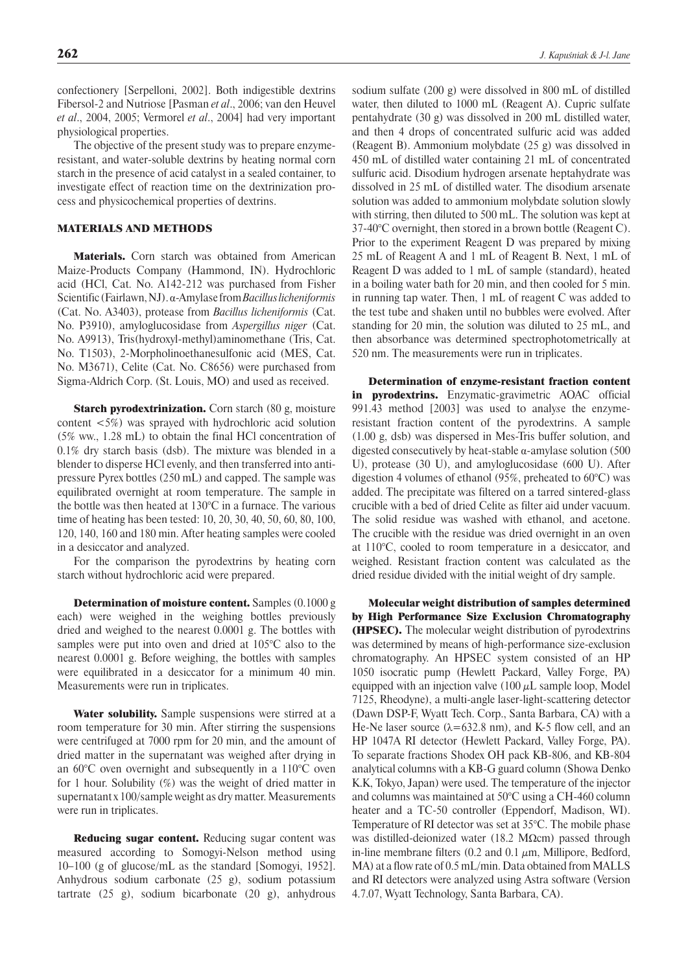confectionery [Serpelloni, 2002]. Both indigestible dextrins Fibersol-2 and Nutriose [Pasman *et al*., 2006; van den Heuvel *et al*., 2004, 2005; Vermorel *et al*., 2004] had very important physiological properties.

The objective of the present study was to prepare enzymeresistant, and water-soluble dextrins by heating normal corn starch in the presence of acid catalyst in a sealed container, to investigate effect of reaction time on the dextrinization process and physicochemical properties of dextrins.

### MATERIALS AND METHODS

Materials. Corn starch was obtained from American Maize-Products Company (Hammond, IN). Hydrochloric acid (HCl, Cat. No. A142-212 was purchased from Fisher Scientific (Fairlawn, NJ). α-Amylase from *Bacillus licheniformis* (Cat. No. A3403), protease from *Bacillus licheniformis* (Cat. No. P3910), amyloglucosidase from *Aspergillus niger* (Cat. No. A9913), Tris(hydroxyl-methyl)aminomethane (Tris, Cat. No. T1503), 2-Morpholinoethanesulfonic acid (MES, Cat. No. M3671), Celite (Cat. No. C8656) were purchased from Sigma-Aldrich Corp. (St. Louis, MO) and used as received.

Starch pyrodextrinization. Corn starch (80 g, moisture content <5%) was sprayed with hydrochloric acid solution (5% ww., 1.28 mL) to obtain the final HCl concentration of 0.1% dry starch basis (dsb). The mixture was blended in a blender to disperse HCl evenly, and then transferred into antipressure Pyrex bottles (250 mL) and capped. The sample was equilibrated overnight at room temperature. The sample in the bottle was then heated at 130°C in a furnace. The various time of heating has been tested: 10, 20, 30, 40, 50, 60, 80, 100, 120, 140, 160 and 180 min. After heating samples were cooled in a desiccator and analyzed.

For the comparison the pyrodextrins by heating corn starch without hydrochloric acid were prepared.

Determination of moisture content. Samples (0.1000 g each) were weighed in the weighing bottles previously dried and weighed to the nearest 0.0001 g. The bottles with samples were put into oven and dried at 105°C also to the nearest 0.0001 g. Before weighing, the bottles with samples were equilibrated in a desiccator for a minimum 40 min. Measurements were run in triplicates.

Water solubility. Sample suspensions were stirred at a room temperature for 30 min. After stirring the suspensions were centrifuged at 7000 rpm for 20 min, and the amount of dried matter in the supernatant was weighed after drying in an 60°C oven overnight and subsequently in a 110°C oven for 1 hour. Solubility (%) was the weight of dried matter in supernatant x 100/sample weight as dry matter. Measurements were run in triplicates.

Reducing sugar content. Reducing sugar content was measured according to Somogyi-Nelson method using 10–100 (g of glucose/mL as the standard [Somogyi, 1952]. Anhydrous sodium carbonate (25 g), sodium potassium tartrate (25 g), sodium bicarbonate (20 g), anhydrous sodium sulfate (200 g) were dissolved in 800 mL of distilled water, then diluted to 1000 mL (Reagent A). Cupric sulfate pentahydrate (30 g) was dissolved in 200 mL distilled water, and then 4 drops of concentrated sulfuric acid was added (Reagent B). Ammonium molybdate (25 g) was dissolved in 450 mL of distilled water containing 21 mL of concentrated sulfuric acid. Disodium hydrogen arsenate heptahydrate was dissolved in 25 mL of distilled water. The disodium arsenate solution was added to ammonium molybdate solution slowly with stirring, then diluted to 500 mL. The solution was kept at 37-40°C overnight, then stored in a brown bottle (Reagent C). Prior to the experiment Reagent D was prepared by mixing 25 mL of Reagent A and 1 mL of Reagent B. Next, 1 mL of Reagent D was added to 1 mL of sample (standard), heated in a boiling water bath for 20 min, and then cooled for 5 min. in running tap water. Then, 1 mL of reagent C was added to the test tube and shaken until no bubbles were evolved. After standing for 20 min, the solution was diluted to 25 mL, and then absorbance was determined spectrophotometrically at 520 nm. The measurements were run in triplicates.

Determination of enzyme-resistant fraction content in pyrodextrins. Enzymatic-gravimetric AOAC official 991.43 method [2003] was used to analy*s*e the enzymeresistant fraction content of the pyrodextrins. A sample (1.00 g, dsb) was dispersed in Mes-Tris buffer solution, and digested consecutively by heat-stable α-amylase solution (500 U), protease (30 U), and amyloglucosidase (600 U). After digestion 4 volumes of ethanol (95%, preheated to 60°C) was added. The precipitate was filtered on a tarred sintered-glass crucible with a bed of dried Celite as filter aid under vacuum. The solid residue was washed with ethanol, and acetone. The crucible with the residue was dried overnight in an oven at 110°C, cooled to room temperature in a desiccator, and weighed. Resistant fraction content was calculated as the dried residue divided with the initial weight of dry sample.

Molecular weight distribution of samples determined by High Performance Size Exclusion Chromatography (HPSEC). The molecular weight distribution of pyrodextrins was determined by means of high-performance size-exclusion chromatography. An HPSEC system consisted of an HP 1050 isocratic pump (Hewlett Packard, Valley Forge, PA) equipped with an injection valve  $(100 \mu L)$  sample loop, Model 7125, Rheodyne), a multi-angle laser-light-scattering detector (Dawn DSP-F, Wyatt Tech. Corp., Santa Barbara, CA) with a He-Ne laser source  $(\lambda = 632.8 \text{ nm})$ , and K-5 flow cell, and an HP 1047A RI detector (Hewlett Packard, Valley Forge, PA). To separate fractions Shodex OH pack KB-806, and KB-804 analytical columns with a KB-G guard column (Showa Denko K.K, Tokyo, Japan) were used. The temperature of the injector and columns was maintained at 50°C using a CH-460 column heater and a TC-50 controller (Eppendorf, Madison, WI). Temperature of RI detector was set at 35°C. The mobile phase was distilled-deionized water (18.2 MΩcm) passed through in-line membrane filters (0.2 and 0.1  $\mu$ m, Millipore, Bedford, MA) at a flow rate of 0.5 mL/min. Data obtained from MALLS and RI detectors were analyzed using Astra software (Version 4.7.07, Wyatt Technology, Santa Barbara, CA).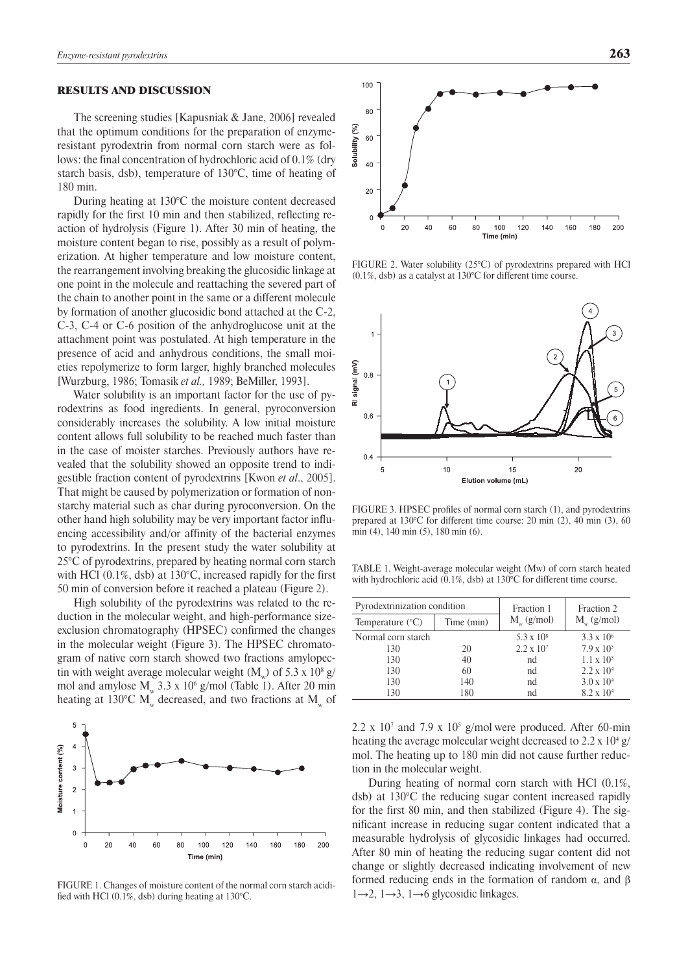#### RESULTS AND DISCUSSION

The screening studies [Kapusniak & Jane, 2006] revealed that the optimum conditions for the preparation of enzymeresistant pyrodextrin from normal corn starch were as follows: the final concentration of hydrochloric acid of 0.1% (dry starch basis, dsb), temperature of 130°C, time of heating of 180 min.

During heating at 130°C the moisture content decreased rapidly for the first 10 min and then stabilized, reflecting reaction of hydrolysis (Figure 1). After 30 min of heating, the moisture content began to rise, possibly as a result of polymerization. At higher temperature and low moisture content, the rearrangement involving breaking the glucosidic linkage at one point in the molecule and reattaching the severed part of the chain to another point in the same or a different molecule by formation of another glucosidic bond attached at the C-2, C-3, C-4 or C-6 position of the anhydroglucose unit at the attachment point was postulated. At high temperature in the presence of acid and anhydrous conditions, the small moieties repolymerize to form larger, highly branched molecules [Wurzburg, 1986; Tomasik *et al.,* 1989; BeMiller, 1993].

Water solubility is an important factor for the use of pyrodextrins as food ingredients. In general, pyroconversion considerably increases the solubility. A low initial moisture content allows full solubility to be reached much faster than in the case of moister starches. Previously authors have revealed that the solubility showed an opposite trend to indigestible fraction content of pyrodextrins [Kwon *et al*., 2005]. That might be caused by polymerization or formation of nonstarchy material such as char during pyroconversion. On the other hand high solubility may be very important factor influencing accessibility and/or affinity of the bacterial enzymes to pyrodextrins. In the present study the water solubility at 25°C of pyrodextrins, prepared by heating normal corn starch with HCl (0.1%, dsb) at 130°C, increased rapidly for the first 50 min of conversion before it reached a plateau (Figure 2).

High solubility of the pyrodextrins was related to the reduction in the molecular weight, and high-performance sizeexclusion chromatography (HPSEC) confirmed the changes in the molecular weight (Figure 3). The HPSEC chromatogram of native corn starch showed two fractions amylopectin with weight average molecular weight (M<sub>w</sub>) of 5.3 x 10<sup>8</sup> g/ mol and amylose  $M_{w}$  3.3 x 10<sup>6</sup> g/mol (Table 1). After 20 min heating at 130°C  $M_w$  decreased, and two fractions at  $M_w$  of



FIGURE 1. Changes of moisture content of the normal corn starch acidified with HCl (0.1%, dsb) during heating at 130°C.



FIGURE 2. Water solubility (25°C) of pyrodextrins prepared with HCl (0.1%, dsb) as a catalyst at 130°C for different time course.

![](_page_2_Figure_10.jpeg)

FIGURE 3. HPSEC profiles of normal corn starch (1), and pyrodextrins prepared at 130°C for different time course: 20 min (2), 40 min (3), 60 min (4), 140 min (5), 180 min (6).

Table 1. Weight-average molecular weight (Mw) of corn starch heated with hydrochloric acid (0.1%, dsb) at 130°C for different time course.

| Pyrodextrinization condition |            | Fraction 1             | Fraction 2          |
|------------------------------|------------|------------------------|---------------------|
| Temperature $(^{\circ}C)$    | Time (min) | $M_{\text{m}}$ (g/mol) | $M_{w}$ (g/mol)     |
| Normal corn starch           |            | 5.3 x $10^8$           | $3.3 \times 10^{6}$ |
| 130                          | 20         | $2.2 \times 10^{7}$    | $7.9 \times 10^{5}$ |
| 130                          | 40         | nd                     | $1.1 \times 10^{5}$ |
| 130                          | 60         | nd                     | $2.2 \times 10^{4}$ |
| 130                          | 140        | nd                     | $3.0 \times 10^{4}$ |
| 130                          | 180        | nd                     | $8.2 \times 10^{4}$ |

2.2 x 10<sup>7</sup> and 7.9 x 10<sup>5</sup> g/mol were produced. After 60-min heating the average molecular weight decreased to  $2.2 \times 10^4$  g/ mol. The heating up to 180 min did not cause further reduction in the molecular weight.

During heating of normal corn starch with HCl (0.1%, dsb) at 130°C the reducing sugar content increased rapidly for the first 80 min, and then stabilized (Figure 4). The significant increase in reducing sugar content indicated that a measurable hydrolysis of glycosidic linkages had occurred. After 80 min of heating the reducing sugar content did not change or slightly decreased indicating involvement of new formed reducing ends in the formation of random α, and β  $1\rightarrow 2$ ,  $1\rightarrow 3$ ,  $1\rightarrow 6$  glycosidic linkages.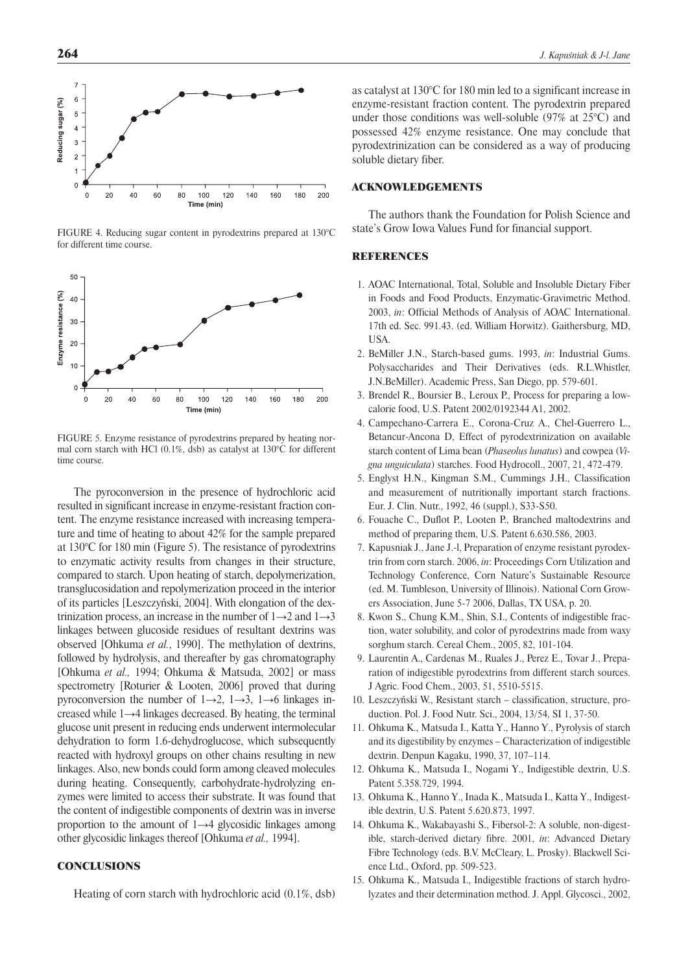![](_page_3_Figure_0.jpeg)

FIGURE 4. Reducing sugar content in pyrodextrins prepared at 130°C for different time course.

![](_page_3_Figure_2.jpeg)

FIGURE 5. Enzyme resistance of pyrodextrins prepared by heating normal corn starch with HCl (0.1%, dsb) as catalyst at 130°C for different time course.

The pyroconversion in the presence of hydrochloric acid resulted in significant increase in enzyme-resistant fraction content. The enzyme resistance increased with increasing temperature and time of heating to about 42% for the sample prepared at 130°C for 180 min (Figure 5). The resistance of pyrodextrins to enzymatic activity results from changes in their structure, compared to starch. Upon heating of starch, depolymerization, transglucosidation and repolymerization proceed in the interior of its particles [Leszczyński, 2004]. With elongation of the dextrinization process, an increase in the number of  $1\rightarrow 2$  and  $1\rightarrow 3$ linkages between glucoside residues of resultant dextrins was observed [Ohkuma *et al.*, 1990]. The methylation of dextrins, followed by hydrolysis, and thereafter by gas chromatography [Ohkuma *et al.,* 1994; Ohkuma & Matsuda, 2002] or mass spectrometry [Roturier & Looten, 2006] proved that during pyroconversion the number of  $1\rightarrow 2$ ,  $1\rightarrow 3$ ,  $1\rightarrow 6$  linkages increased while 1→4 linkages decreased. By heating, the terminal glucose unit present in reducing ends underwent intermolecular dehydration to form 1.6-dehydroglucose, which subsequently reacted with hydroxyl groups on other chains resulting in new linkages. Also, new bonds could form among cleaved molecules during heating. Consequently, carbohydrate-hydrolyzing enzymes were limited to access their substrate. It was found that the content of indigestible components of dextrin was in inverse proportion to the amount of 1→4 glycosidic linkages among other glycosidic linkages thereof [Ohkuma *et al.,* 1994].

## **CONCLUSIONS**

Heating of corn starch with hydrochloric acid (0.1%, dsb)

as catalyst at 130°C for 180 min led to a significant increase in enzyme-resistant fraction content. The pyrodextrin prepared under those conditions was well-soluble (97% at 25°C) and possessed 42% enzyme resistance. One may conclude that pyrodextrinization can be considered as a way of producing soluble dietary fiber.

### ACKNOWLEDGEMENTS

The authors thank the Foundation for Polish Science and state's Grow Iowa Values Fund for financial support.

#### REFERENCES

- 1. AOAC International, Total, Soluble and Insoluble Dietary Fiber in Foods and Food Products, Enzymatic-Gravimetric Method. 2003, *in*: Official Methods of Analysis of AOAC International. 17th ed. Sec. 991.43. (ed. William Horwitz). Gaithersburg, MD, **IISA**
- 2. BeMiller J.N., Starch-based gums. 1993, *in*: Industrial Gums. Polysaccharides and Their Derivatives (eds. R.L.Whistler, J.N.BeMiller). Academic Press, San Diego, pp. 579-601.
- 3. Brendel R., Boursier B., Leroux P., Process for preparing a lowcalorie food, U.S. Patent 2002/0192344 A1, 2002.
- 4. Campechano-Carrera E., Corona-Cruz A., Chel-Guerrero L., Betancur-Ancona D, Effect of pyrodextrinization on available starch content of Lima bean (*Phaseolus lunatus*) and cowpea (*Vigna unguiculata*) starches. Food Hydrocoll., 2007, 21, 472-479.
- 5. Englyst H.N., Kingman S.M., Cummings J.H., Classification and measurement of nutritionally important starch fractions. Eur. J. Clin. Nutr., 1992, 46 (suppl.), S33-S50.
- 6. Fouache C., Duflot P., Looten P., Branched maltodextrins and method of preparing them, U.S. Patent 6.630.586, 2003.
- 7. Kapusniak J., Jane J.-l, Preparation of enzyme resistant pyrodextrin from corn starch. 2006, *in*: Proceedings Corn Utilization and Technology Conference, Corn Nature's Sustainable Resource (ed. M. Tumbleson, University of Illinois). National Corn Growers Association, June 5-7 2006, Dallas, TX USA, p. 20.
- 8. Kwon S., Chung K.M., Shin, S.I., Contents of indigestible fraction, water solubility, and color of pyrodextrins made from waxy sorghum starch. Cereal Chem., 2005, 82, 101-104.
- 9. Laurentin A., Cardenas M., Ruales J., Perez E., Tovar J., Preparation of indigestible pyrodextrins from different starch sources. J Agric. Food Chem., 2003, 51, 5510-5515.
- 10. Leszczyński W., Resistant starch classification, structure, production. Pol. J. Food Nutr. Sci., 2004, 13/54, SI 1, 37-50.
- 11. Ohkuma K., Matsuda I., Katta Y., Hanno Y., Pyrolysis of starch and its digestibility by enzymes – Characterization of indigestible dextrin. Denpun Kagaku, 1990, 37, 107–114.
- 12. Ohkuma K., Matsuda I., Nogami Y., Indigestible dextrin, U.S. Patent 5.358.729, 1994.
- 13. Ohkuma K., Hanno Y., Inada K., Matsuda I., Katta Y., Indigestible dextrin, U.S. Patent 5.620.873, 1997.
- 14. Ohkuma K., Wakabayashi S., Fibersol-2: A soluble, non-digestible, starch-derived dietary fibre. 2001, *in*: Advanced Dietary Fibre Technology (eds. B.V. McCleary, L. Prosky). Blackwell Science Ltd., Oxford, pp. 509-523.
- 15. Ohkuma K., Matsuda I., Indigestible fractions of starch hydrolyzates and their determination method. J. Appl. Glycosci., 2002,